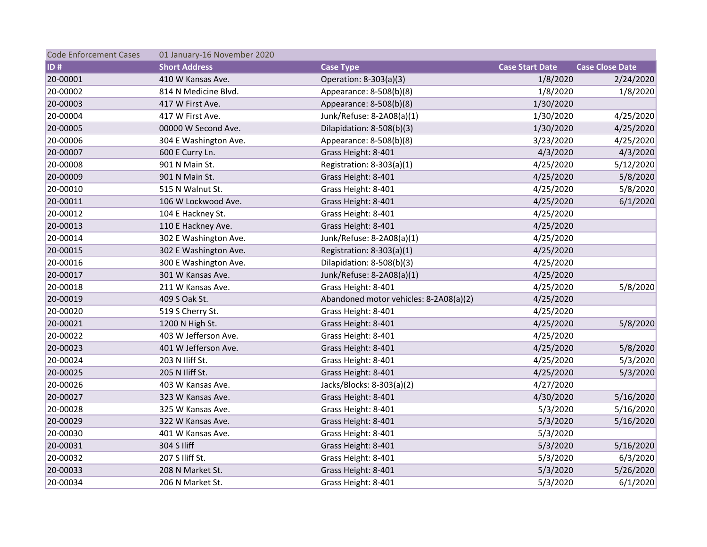| <b>Code Enforcement Cases</b> | 01 January-16 November 2020 |                                        |                        |                        |
|-------------------------------|-----------------------------|----------------------------------------|------------------------|------------------------|
| $ $ ID#                       | <b>Short Address</b>        | <b>Case Type</b>                       | <b>Case Start Date</b> | <b>Case Close Date</b> |
| 20-00001                      | 410 W Kansas Ave.           | Operation: 8-303(a)(3)                 | 1/8/2020               | 2/24/2020              |
| 20-00002                      | 814 N Medicine Blvd.        | Appearance: 8-508(b)(8)                | 1/8/2020               | 1/8/2020               |
| 20-00003                      | 417 W First Ave.            | Appearance: 8-508(b)(8)                | 1/30/2020              |                        |
| 20-00004                      | 417 W First Ave.            | Junk/Refuse: 8-2A08(a)(1)              | 1/30/2020              | 4/25/2020              |
| 20-00005                      | 00000 W Second Ave.         | Dilapidation: 8-508(b)(3)              | 1/30/2020              | 4/25/2020              |
| 20-00006                      | 304 E Washington Ave.       | Appearance: 8-508(b)(8)                | 3/23/2020              | 4/25/2020              |
| 20-00007                      | 600 E Curry Ln.             | Grass Height: 8-401                    | 4/3/2020               | 4/3/2020               |
| 20-00008                      | 901 N Main St.              | Registration: 8-303(a)(1)              | 4/25/2020              | 5/12/2020              |
| 20-00009                      | 901 N Main St.              | Grass Height: 8-401                    | 4/25/2020              | 5/8/2020               |
| 20-00010                      | 515 N Walnut St.            | Grass Height: 8-401                    | 4/25/2020              | 5/8/2020               |
| 20-00011                      | 106 W Lockwood Ave.         | Grass Height: 8-401                    | 4/25/2020              | 6/1/2020               |
| 20-00012                      | 104 E Hackney St.           | Grass Height: 8-401                    | 4/25/2020              |                        |
| 20-00013                      | 110 E Hackney Ave.          | Grass Height: 8-401                    | 4/25/2020              |                        |
| 20-00014                      | 302 E Washington Ave.       | Junk/Refuse: 8-2A08(a)(1)              | 4/25/2020              |                        |
| 20-00015                      | 302 E Washington Ave.       | Registration: $8-303(a)(1)$            | 4/25/2020              |                        |
| 20-00016                      | 300 E Washington Ave.       | Dilapidation: 8-508(b)(3)              | 4/25/2020              |                        |
| 20-00017                      | 301 W Kansas Ave.           | Junk/Refuse: 8-2A08(a)(1)              | 4/25/2020              |                        |
| 20-00018                      | 211 W Kansas Ave.           | Grass Height: 8-401                    | 4/25/2020              | 5/8/2020               |
| 20-00019                      | 409 S Oak St.               | Abandoned motor vehicles: 8-2A08(a)(2) | 4/25/2020              |                        |
| 20-00020                      | 519 S Cherry St.            | Grass Height: 8-401                    | 4/25/2020              |                        |
| 20-00021                      | 1200 N High St.             | Grass Height: 8-401                    | 4/25/2020              | 5/8/2020               |
| 20-00022                      | 403 W Jefferson Ave.        | Grass Height: 8-401                    | 4/25/2020              |                        |
| 20-00023                      | 401 W Jefferson Ave.        | Grass Height: 8-401                    | 4/25/2020              | 5/8/2020               |
| 20-00024                      | 203 N Iliff St.             | Grass Height: 8-401                    | 4/25/2020              | 5/3/2020               |
| 20-00025                      | 205 N Iliff St.             | Grass Height: 8-401                    | 4/25/2020              | 5/3/2020               |
| 20-00026                      | 403 W Kansas Ave.           | Jacks/Blocks: 8-303(a)(2)              | 4/27/2020              |                        |
| 20-00027                      | 323 W Kansas Ave.           | Grass Height: 8-401                    | 4/30/2020              | 5/16/2020              |
| 20-00028                      | 325 W Kansas Ave.           | Grass Height: 8-401                    | 5/3/2020               | 5/16/2020              |
| 20-00029                      | 322 W Kansas Ave.           | Grass Height: 8-401                    | 5/3/2020               | 5/16/2020              |
| 20-00030                      | 401 W Kansas Ave.           | Grass Height: 8-401                    | 5/3/2020               |                        |
| 20-00031                      | 304 S Iliff                 | Grass Height: 8-401                    | 5/3/2020               | 5/16/2020              |
| 20-00032                      | 207 S Iliff St.             | Grass Height: 8-401                    | 5/3/2020               | 6/3/2020               |
| 20-00033                      | 208 N Market St.            | Grass Height: 8-401                    | 5/3/2020               | 5/26/2020              |
| 20-00034                      | 206 N Market St.            | Grass Height: 8-401                    | 5/3/2020               | 6/1/2020               |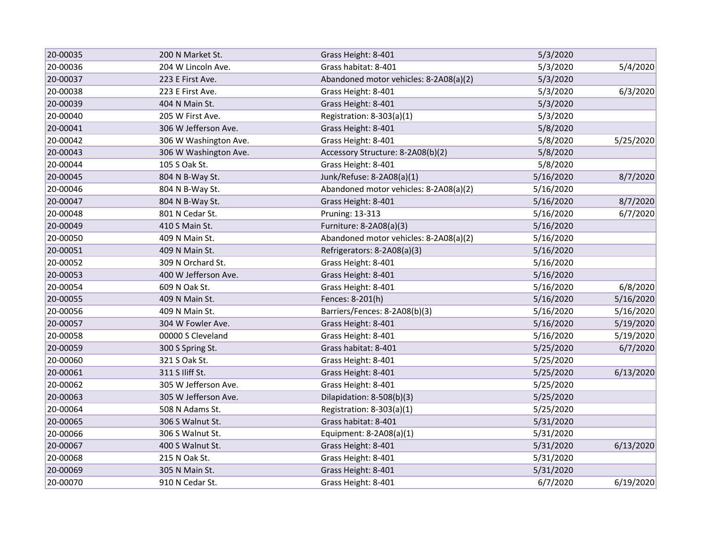| 20-00035 | 200 N Market St.      | Grass Height: 8-401                    | 5/3/2020  |           |
|----------|-----------------------|----------------------------------------|-----------|-----------|
| 20-00036 | 204 W Lincoln Ave.    | Grass habitat: 8-401                   | 5/3/2020  | 5/4/2020  |
| 20-00037 | 223 E First Ave.      | Abandoned motor vehicles: 8-2A08(a)(2) | 5/3/2020  |           |
| 20-00038 | 223 E First Ave.      | Grass Height: 8-401                    | 5/3/2020  | 6/3/2020  |
| 20-00039 | 404 N Main St.        | Grass Height: 8-401                    | 5/3/2020  |           |
| 20-00040 | 205 W First Ave.      | Registration: 8-303(a)(1)              | 5/3/2020  |           |
| 20-00041 | 306 W Jefferson Ave.  | Grass Height: 8-401                    | 5/8/2020  |           |
| 20-00042 | 306 W Washington Ave. | Grass Height: 8-401                    | 5/8/2020  | 5/25/2020 |
| 20-00043 | 306 W Washington Ave. | Accessory Structure: 8-2A08(b)(2)      | 5/8/2020  |           |
| 20-00044 | 105 S Oak St.         | Grass Height: 8-401                    | 5/8/2020  |           |
| 20-00045 | 804 N B-Way St.       | Junk/Refuse: 8-2A08(a)(1)              | 5/16/2020 | 8/7/2020  |
| 20-00046 | 804 N B-Way St.       | Abandoned motor vehicles: 8-2A08(a)(2) | 5/16/2020 |           |
| 20-00047 | 804 N B-Way St.       | Grass Height: 8-401                    | 5/16/2020 | 8/7/2020  |
| 20-00048 | 801 N Cedar St.       | Pruning: 13-313                        | 5/16/2020 | 6/7/2020  |
| 20-00049 | 410 S Main St.        | Furniture: 8-2A08(a)(3)                | 5/16/2020 |           |
| 20-00050 | 409 N Main St.        | Abandoned motor vehicles: 8-2A08(a)(2) | 5/16/2020 |           |
| 20-00051 | 409 N Main St.        | Refrigerators: 8-2A08(a)(3)            | 5/16/2020 |           |
| 20-00052 | 309 N Orchard St.     | Grass Height: 8-401                    | 5/16/2020 |           |
| 20-00053 | 400 W Jefferson Ave.  | Grass Height: 8-401                    | 5/16/2020 |           |
| 20-00054 | 609 N Oak St.         | Grass Height: 8-401                    | 5/16/2020 | 6/8/2020  |
| 20-00055 | 409 N Main St.        | Fences: 8-201(h)                       | 5/16/2020 | 5/16/2020 |
| 20-00056 | 409 N Main St.        | Barriers/Fences: 8-2A08(b)(3)          | 5/16/2020 | 5/16/2020 |
| 20-00057 | 304 W Fowler Ave.     | Grass Height: 8-401                    | 5/16/2020 | 5/19/2020 |
| 20-00058 | 00000 S Cleveland     | Grass Height: 8-401                    | 5/16/2020 | 5/19/2020 |
| 20-00059 | 300 S Spring St.      | Grass habitat: 8-401                   | 5/25/2020 | 6/7/2020  |
| 20-00060 | 321 S Oak St.         | Grass Height: 8-401                    | 5/25/2020 |           |
| 20-00061 | 311 S Iliff St.       | Grass Height: 8-401                    | 5/25/2020 | 6/13/2020 |
| 20-00062 | 305 W Jefferson Ave.  | Grass Height: 8-401                    | 5/25/2020 |           |
| 20-00063 | 305 W Jefferson Ave.  | Dilapidation: 8-508(b)(3)              | 5/25/2020 |           |
| 20-00064 | 508 N Adams St.       | Registration: 8-303(a)(1)              | 5/25/2020 |           |
| 20-00065 | 306 S Walnut St.      | Grass habitat: 8-401                   | 5/31/2020 |           |
| 20-00066 | 306 S Walnut St.      | Equipment: 8-2A08(a)(1)                | 5/31/2020 |           |
| 20-00067 | 400 S Walnut St.      | Grass Height: 8-401                    | 5/31/2020 | 6/13/2020 |
| 20-00068 | 215 N Oak St.         | Grass Height: 8-401                    | 5/31/2020 |           |
| 20-00069 | 305 N Main St.        | Grass Height: 8-401                    | 5/31/2020 |           |
| 20-00070 | 910 N Cedar St.       | Grass Height: 8-401                    | 6/7/2020  | 6/19/2020 |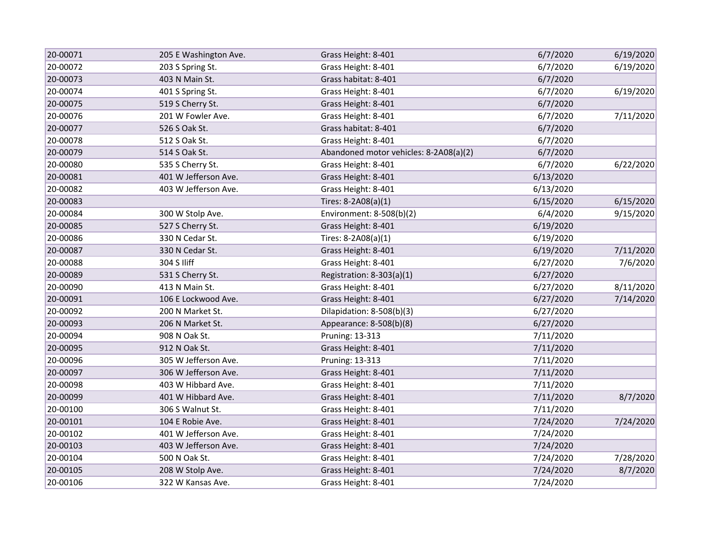| 20-00071 | 205 E Washington Ave. | Grass Height: 8-401                    | 6/7/2020  | 6/19/2020 |
|----------|-----------------------|----------------------------------------|-----------|-----------|
| 20-00072 | 203 S Spring St.      | Grass Height: 8-401                    | 6/7/2020  | 6/19/2020 |
| 20-00073 | 403 N Main St.        | Grass habitat: 8-401                   | 6/7/2020  |           |
| 20-00074 | 401 S Spring St.      | Grass Height: 8-401                    | 6/7/2020  | 6/19/2020 |
| 20-00075 | 519 S Cherry St.      | Grass Height: 8-401                    | 6/7/2020  |           |
| 20-00076 | 201 W Fowler Ave.     | Grass Height: 8-401                    | 6/7/2020  | 7/11/2020 |
| 20-00077 | 526 S Oak St.         | Grass habitat: 8-401                   | 6/7/2020  |           |
| 20-00078 | 512 S Oak St.         | Grass Height: 8-401                    | 6/7/2020  |           |
| 20-00079 | 514 S Oak St.         | Abandoned motor vehicles: 8-2A08(a)(2) | 6/7/2020  |           |
| 20-00080 | 535 S Cherry St.      | Grass Height: 8-401                    | 6/7/2020  | 6/22/2020 |
| 20-00081 | 401 W Jefferson Ave.  | Grass Height: 8-401                    | 6/13/2020 |           |
| 20-00082 | 403 W Jefferson Ave.  | Grass Height: 8-401                    | 6/13/2020 |           |
| 20-00083 |                       | Tires: 8-2A08(a)(1)                    | 6/15/2020 | 6/15/2020 |
| 20-00084 | 300 W Stolp Ave.      | Environment: 8-508(b)(2)               | 6/4/2020  | 9/15/2020 |
| 20-00085 | 527 S Cherry St.      | Grass Height: 8-401                    | 6/19/2020 |           |
| 20-00086 | 330 N Cedar St.       | Tires: 8-2A08(a)(1)                    | 6/19/2020 |           |
| 20-00087 | 330 N Cedar St.       | Grass Height: 8-401                    | 6/19/2020 | 7/11/2020 |
| 20-00088 | 304 S Iliff           | Grass Height: 8-401                    | 6/27/2020 | 7/6/2020  |
| 20-00089 | 531 S Cherry St.      | Registration: 8-303(a)(1)              | 6/27/2020 |           |
| 20-00090 | 413 N Main St.        | Grass Height: 8-401                    | 6/27/2020 | 8/11/2020 |
| 20-00091 | 106 E Lockwood Ave.   | Grass Height: 8-401                    | 6/27/2020 | 7/14/2020 |
| 20-00092 | 200 N Market St.      | Dilapidation: 8-508(b)(3)              | 6/27/2020 |           |
| 20-00093 | 206 N Market St.      | Appearance: 8-508(b)(8)                | 6/27/2020 |           |
| 20-00094 | 908 N Oak St.         | Pruning: 13-313                        | 7/11/2020 |           |
| 20-00095 | 912 N Oak St.         | Grass Height: 8-401                    | 7/11/2020 |           |
| 20-00096 | 305 W Jefferson Ave.  | Pruning: 13-313                        | 7/11/2020 |           |
| 20-00097 | 306 W Jefferson Ave.  | Grass Height: 8-401                    | 7/11/2020 |           |
| 20-00098 | 403 W Hibbard Ave.    | Grass Height: 8-401                    | 7/11/2020 |           |
| 20-00099 | 401 W Hibbard Ave.    | Grass Height: 8-401                    | 7/11/2020 | 8/7/2020  |
| 20-00100 | 306 S Walnut St.      | Grass Height: 8-401                    | 7/11/2020 |           |
| 20-00101 | 104 E Robie Ave.      | Grass Height: 8-401                    | 7/24/2020 | 7/24/2020 |
| 20-00102 | 401 W Jefferson Ave.  | Grass Height: 8-401                    | 7/24/2020 |           |
| 20-00103 | 403 W Jefferson Ave.  | Grass Height: 8-401                    | 7/24/2020 |           |
| 20-00104 | 500 N Oak St.         | Grass Height: 8-401                    | 7/24/2020 | 7/28/2020 |
| 20-00105 | 208 W Stolp Ave.      | Grass Height: 8-401                    | 7/24/2020 | 8/7/2020  |
| 20-00106 | 322 W Kansas Ave.     | Grass Height: 8-401                    | 7/24/2020 |           |